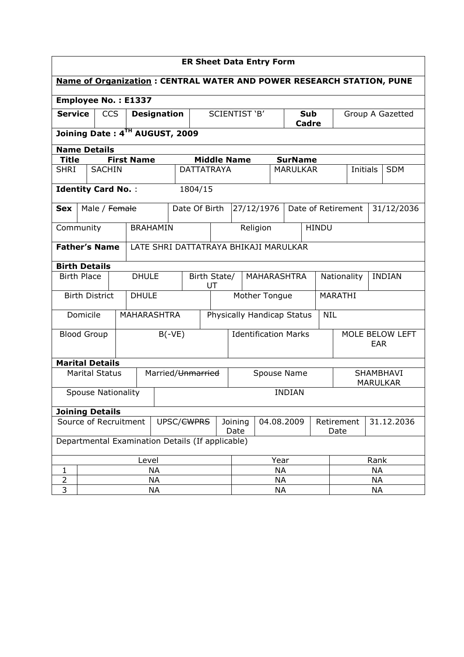| <b>ER Sheet Data Entry Form</b>                                             |           |                           |  |                    |                                    |                 |                                  |                             |           |                                       |                        |                              |                                  |           |               |                  |
|-----------------------------------------------------------------------------|-----------|---------------------------|--|--------------------|------------------------------------|-----------------|----------------------------------|-----------------------------|-----------|---------------------------------------|------------------------|------------------------------|----------------------------------|-----------|---------------|------------------|
| <b>Name of Organization: CENTRAL WATER AND POWER RESEARCH STATION, PUNE</b> |           |                           |  |                    |                                    |                 |                                  |                             |           |                                       |                        |                              |                                  |           |               |                  |
| <b>Employee No.: E1337</b>                                                  |           |                           |  |                    |                                    |                 |                                  |                             |           |                                       |                        |                              |                                  |           |               |                  |
| <b>Service</b><br><b>CCS</b>                                                |           |                           |  | <b>Designation</b> |                                    |                 | SCIENTIST 'B'                    |                             |           | <b>Sub</b><br>Cadre                   |                        |                              |                                  |           |               | Group A Gazetted |
| Joining Date: 4TH AUGUST, 2009                                              |           |                           |  |                    |                                    |                 |                                  |                             |           |                                       |                        |                              |                                  |           |               |                  |
| <b>Name Details</b><br><b>Middle Name</b>                                   |           |                           |  |                    |                                    |                 |                                  |                             |           |                                       |                        |                              |                                  |           |               |                  |
| <b>Title</b><br><b>SHRI</b>                                                 |           | <b>SACHIN</b>             |  | <b>First Name</b>  |                                    |                 |                                  | <b>DATTATRAYA</b>           |           |                                       | <b>SurName</b>         |                              |                                  |           |               | <b>SDM</b>       |
|                                                                             |           |                           |  |                    |                                    |                 |                                  |                             |           |                                       | <b>MARULKAR</b>        |                              |                                  | Initials  |               |                  |
|                                                                             |           | <b>Identity Card No.:</b> |  |                    |                                    |                 | 1804/15                          |                             |           |                                       |                        |                              |                                  |           |               |                  |
| <b>Sex</b>                                                                  |           | Male / Female             |  |                    |                                    | Date Of Birth   |                                  |                             |           | 27/12/1976                            |                        |                              | Date of Retirement<br>31/12/2036 |           |               |                  |
| Community                                                                   |           |                           |  | <b>BRAHAMIN</b>    |                                    |                 |                                  |                             |           | Religion                              |                        | <b>HINDU</b>                 |                                  |           |               |                  |
|                                                                             |           | <b>Father's Name</b>      |  |                    |                                    |                 |                                  |                             |           | LATE SHRI DATTATRAYA BHIKAJI MARULKAR |                        |                              |                                  |           |               |                  |
| <b>Birth Details</b>                                                        |           |                           |  |                    |                                    |                 |                                  |                             |           |                                       |                        |                              |                                  |           |               |                  |
| <b>Birth Place</b>                                                          |           |                           |  |                    | <b>DHULE</b><br>Birth State/<br>UT |                 |                                  | MAHARASHTRA                 |           |                                       | Nationality            |                              |                                  |           | <b>INDIAN</b> |                  |
|                                                                             |           | <b>Birth District</b>     |  | <b>DHULE</b>       |                                    |                 | Mother Tongue                    |                             |           |                                       |                        |                              | <b>MARATHI</b>                   |           |               |                  |
|                                                                             | Domicile  |                           |  | <b>MAHARASHTRA</b> |                                    |                 | Physically Handicap Status       |                             |           |                                       |                        | <b>NIL</b>                   |                                  |           |               |                  |
| <b>Blood Group</b>                                                          |           |                           |  | $B(-VE)$           |                                    |                 |                                  | <b>Identification Marks</b> |           |                                       | MOLE BELOW LEFT<br>EAR |                              |                                  |           |               |                  |
|                                                                             |           | <b>Marital Details</b>    |  |                    |                                    |                 |                                  |                             |           |                                       |                        |                              |                                  |           |               |                  |
|                                                                             |           | <b>Marital Status</b>     |  |                    |                                    |                 | Married/Unmarried<br>Spouse Name |                             |           |                                       |                        | SHAMBHAVI<br><b>MARULKAR</b> |                                  |           |               |                  |
|                                                                             |           | <b>Spouse Nationality</b> |  |                    |                                    |                 |                                  |                             |           |                                       | <b>INDIAN</b>          |                              |                                  |           |               |                  |
|                                                                             |           | <b>Joining Details</b>    |  |                    |                                    |                 |                                  |                             |           |                                       |                        |                              |                                  |           |               |                  |
| Source of Recruitment<br>UPSC/ <del>CWPRS</del>                             |           |                           |  |                    |                                    | Joining<br>Date | 04.08.2009                       |                             |           | Retirement<br>Date                    |                        |                              | 31.12.2036                       |           |               |                  |
| Departmental Examination Details (If applicable)                            |           |                           |  |                    |                                    |                 |                                  |                             |           |                                       |                        |                              |                                  |           |               |                  |
|                                                                             |           |                           |  | Level              |                                    |                 |                                  | Year                        |           |                                       |                        | Rank                         |                                  |           |               |                  |
| 1                                                                           |           |                           |  | <b>NA</b>          |                                    |                 |                                  |                             | <b>NA</b> |                                       |                        |                              |                                  | <b>NA</b> |               |                  |
| $\overline{2}$                                                              |           |                           |  | <b>NA</b>          |                                    |                 |                                  |                             | <b>NA</b> |                                       |                        |                              |                                  | <b>NA</b> |               |                  |
| 3                                                                           | <b>NA</b> |                           |  |                    |                                    |                 |                                  | <b>NA</b><br><b>NA</b>      |           |                                       |                        |                              |                                  |           |               |                  |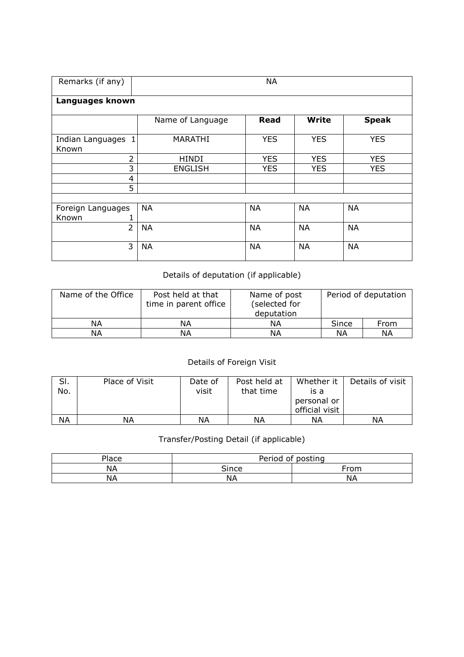| Remarks (if any)<br><b>NA</b> |                  |             |              |              |  |  |  |  |  |  |  |  |  |
|-------------------------------|------------------|-------------|--------------|--------------|--|--|--|--|--|--|--|--|--|
| Languages known               |                  |             |              |              |  |  |  |  |  |  |  |  |  |
|                               | Name of Language | <b>Read</b> | <b>Write</b> | <b>Speak</b> |  |  |  |  |  |  |  |  |  |
| Indian Languages 1<br>Known   | <b>MARATHI</b>   | <b>YES</b>  | <b>YES</b>   | <b>YES</b>   |  |  |  |  |  |  |  |  |  |
| $\overline{2}$                | <b>HINDI</b>     | <b>YES</b>  | <b>YES</b>   | <b>YES</b>   |  |  |  |  |  |  |  |  |  |
| 3                             | <b>ENGLISH</b>   | <b>YES</b>  | <b>YES</b>   | <b>YES</b>   |  |  |  |  |  |  |  |  |  |
| 4                             |                  |             |              |              |  |  |  |  |  |  |  |  |  |
| 5                             |                  |             |              |              |  |  |  |  |  |  |  |  |  |
|                               |                  |             |              |              |  |  |  |  |  |  |  |  |  |
| Foreign Languages             | <b>NA</b>        | <b>NA</b>   | <b>NA</b>    | <b>NA</b>    |  |  |  |  |  |  |  |  |  |
| Known                         |                  |             |              |              |  |  |  |  |  |  |  |  |  |
| $\overline{2}$                | <b>NA</b>        | <b>NA</b>   | <b>NA</b>    | <b>NA</b>    |  |  |  |  |  |  |  |  |  |
| 3                             | <b>NA</b>        | <b>NA</b>   | <b>NA</b>    | <b>NA</b>    |  |  |  |  |  |  |  |  |  |

## Details of deputation (if applicable)

| Name of the Office | Post held at that<br>time in parent office | Name of post<br>(selected for<br>deputation |       | Period of deputation |
|--------------------|--------------------------------------------|---------------------------------------------|-------|----------------------|
| ΝA                 | ΝA                                         | ΝA                                          | Since | From                 |
| ΝA                 | ΝA                                         | ΝA                                          | ΝA    | ΝA                   |

## Details of Foreign Visit

| SI.<br>No. | Place of Visit | Date of<br>visit | Post held at<br>that time | Whether it<br>is a | Details of visit |
|------------|----------------|------------------|---------------------------|--------------------|------------------|
|            |                |                  |                           | personal or        |                  |
|            |                |                  |                           | official visit     |                  |
| <b>NA</b>  | ΝA             | ΝA               | ΝA                        | ΝA                 | ΝA               |

## Transfer/Posting Detail (if applicable)

| Place | Period of posting |      |  |  |  |  |
|-------|-------------------|------|--|--|--|--|
| NΑ    | Since             | From |  |  |  |  |
| NΑ    | ΝA                | NА   |  |  |  |  |